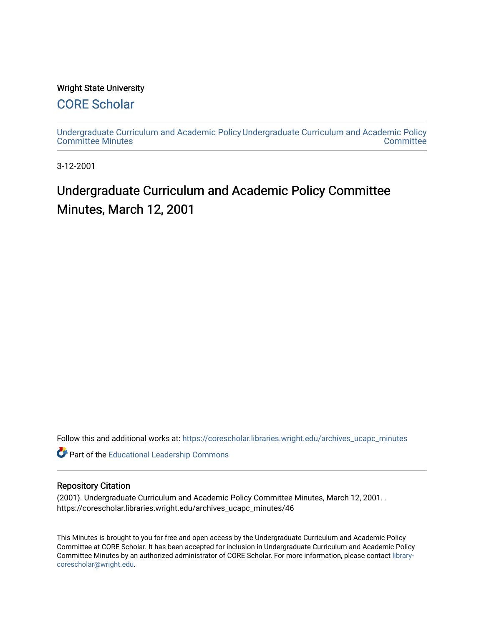#### Wright State University

# [CORE Scholar](https://corescholar.libraries.wright.edu/)

[Undergraduate Curriculum and Academic Policy](https://corescholar.libraries.wright.edu/archives_ucapc_minutes) [Undergraduate Curriculum and Academic Policy](https://corescholar.libraries.wright.edu/archives_ucapc)  [Committee Minutes](https://corescholar.libraries.wright.edu/archives_ucapc_minutes) **Committee** 

3-12-2001

# Undergraduate Curriculum and Academic Policy Committee Minutes, March 12, 2001

Follow this and additional works at: [https://corescholar.libraries.wright.edu/archives\\_ucapc\\_minutes](https://corescholar.libraries.wright.edu/archives_ucapc_minutes?utm_source=corescholar.libraries.wright.edu%2Farchives_ucapc_minutes%2F46&utm_medium=PDF&utm_campaign=PDFCoverPages) 

Part of the [Educational Leadership Commons](http://network.bepress.com/hgg/discipline/1230?utm_source=corescholar.libraries.wright.edu%2Farchives_ucapc_minutes%2F46&utm_medium=PDF&utm_campaign=PDFCoverPages) 

#### Repository Citation

(2001). Undergraduate Curriculum and Academic Policy Committee Minutes, March 12, 2001. . https://corescholar.libraries.wright.edu/archives\_ucapc\_minutes/46

This Minutes is brought to you for free and open access by the Undergraduate Curriculum and Academic Policy Committee at CORE Scholar. It has been accepted for inclusion in Undergraduate Curriculum and Academic Policy Committee Minutes by an authorized administrator of CORE Scholar. For more information, please contact [library](mailto:library-corescholar@wright.edu)[corescholar@wright.edu](mailto:library-corescholar@wright.edu).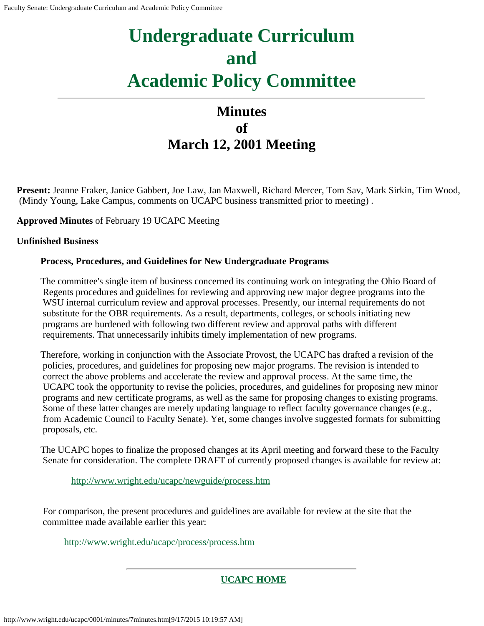# **Minutes of March 12, 2001 Meeting**

**Present:** Jeanne Fraker, Janice Gabbert, Joe Law, Jan Maxwell, Richard Mercer, Tom Sav, Mark Sirkin, Tim Wood, (Mindy Young, Lake Campus, comments on UCAPC business transmitted prior to meeting) .

**Approved Minutes** of February 19 UCAPC Meeting

#### **Unfinished Business**

#### **Process, Procedures, and Guidelines for New Undergraduate Programs**

The committee's single item of business concerned its continuing work on integrating the Ohio Board of Regents procedures and guidelines for reviewing and approving new major degree programs into the WSU internal curriculum review and approval processes. Presently, our internal requirements do not substitute for the OBR requirements. As a result, departments, colleges, or schools initiating new programs are burdened with following two different review and approval paths with different requirements. That unnecessarily inhibits timely implementation of new programs.

Therefore, working in conjunction with the Associate Provost, the UCAPC has drafted a revision of the policies, procedures, and guidelines for proposing new major programs. The revision is intended to correct the above problems and accelerate the review and approval process. At the same time, the UCAPC took the opportunity to revise the policies, procedures, and guidelines for proposing new minor programs and new certificate programs, as well as the same for proposing changes to existing programs. Some of these latter changes are merely updating language to reflect faculty governance changes (e.g., from Academic Council to Faculty Senate). Yet, some changes involve suggested formats for submitting proposals, etc.

The UCAPC hopes to finalize the proposed changes at its April meeting and forward these to the Faculty Senate for consideration. The complete DRAFT of currently proposed changes is available for review at:

[http://www.wright.edu/ucapc/newguide/process.htm](#page-2-0)

For comparison, the present procedures and guidelines are available for review at the site that the committee made available earlier this year:

[http://www.wright.edu/ucapc/process/process.htm](#page-21-0)

## **[UCAPC HOME](http://www.wright.edu/ucapc/index.htm)**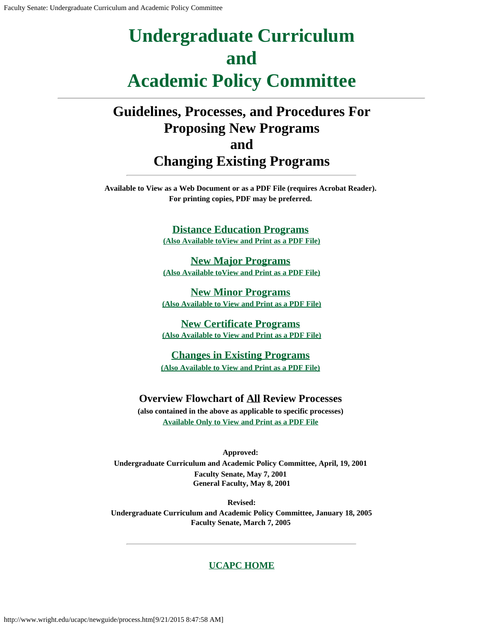# <span id="page-2-0"></span>**Guidelines, Processes, and Procedures For Proposing New Programs and Changing Existing Programs**

**Available to View as a Web Document or as a PDF File (requires Acrobat Reader). For printing copies, PDF may be preferred.**

> **Distance [Education Programs](http://www.wright.edu/ucapc/newguide/distance.htm) (Also Available [toView and Print](http://www.wright.edu/ucapc/newguide/distance.pdf) as a PDF File)**

> **[New Major Programs](http://www.wright.edu/ucapc/newguide/major.htm) [\(Also Available toView](http://www.wright.edu/ucapc/newguide/major.pdf) and Print as a PDF File)**

**[New Minor Programs](http://www.wright.edu/ucapc/newguide/minor.htm) [\(Also Available to View](http://www.wright.edu/ucapc/newguide/minor.pdf) and Print as a PDF File)**

**[New Certificate](http://www.wright.edu/ucapc/newguide/certific.htm) Programs (Also Available to View and [Print as a PDF File\)](http://www.wright.edu/ucapc/newguide/certific.pdf)**

**Changes in [Existing Programs](http://www.wright.edu/ucapc/newguide/changes.htm) (Also Available to View and [Print as a PDF File\)](http://www.wright.edu/ucapc/newguide/changes.pdf)**

#### **Overview Flowchart of All Review Processes**

**(also contained in the above as applicable to specific processes) Available Only to View and [Print as a PDF File](http://www.wright.edu/ucapc/newguide/chartall.pdf)**

**Approved: Undergraduate Curriculum and Academic Policy Committee, April, 19, 2001 Faculty Senate, May 7, 2001 General Faculty, May 8, 2001**

**Revised: Undergraduate Curriculum and Academic Policy Committee, January 18, 2005 Faculty Senate, March 7, 2005**

#### **[UCAPC HOME](http://www.wright.edu/ucapc/index.htm)**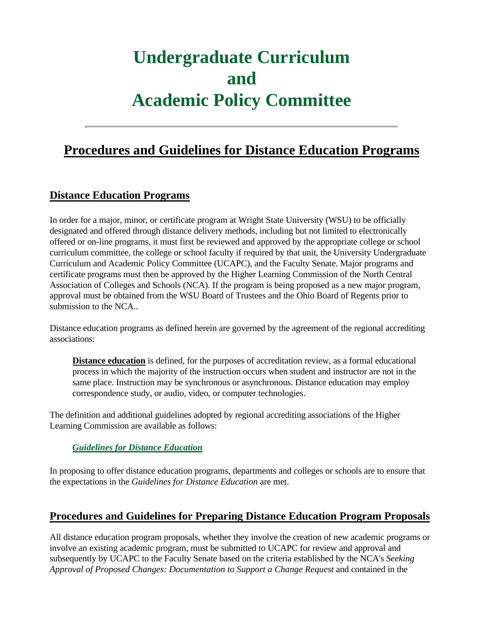# **Procedures and Guidelines for Distance Education Programs**

## **Distance Education Programs**

In order for a major, minor, or certificate program at Wright State University (WSU) to be officially designated and offered through distance delivery methods, including but not limited to electronically offered or on-line programs, it must first be reviewed and approved by the appropriate college or school curriculum committee, the college or school faculty if required by that unit, the University Undergraduate Curriculum and Academic Policy Committee (UCAPC), and the Faculty Senate. Major programs and certificate programs must then be approved by the Higher Learning Commission of the North Central Association of Colleges and Schools (NCA). If the program is being proposed as a new major program, approval must be obtained from the WSU Board of Trustees and the Ohio Board of Regents prior to submission to the NCA..

Distance education programs as defined herein are governed by the agreement of the regional accrediting associations:

**Distance education** is defined, for the purposes of accreditation review, as a formal educational process in which the majority of the instruction occurs when student and instructor are not in the same place. Instruction may be synchronous or asynchronous. Distance education may employ correspondence study, or audio, video, or computer technologies.

The definition and additional guidelines adopted by regional accrediting associations of the Higher Learning Commission are available as follows:

#### *Guidelines for Distance Education*

In proposing to offer distance education programs, departments and colleges or schools are to ensure that the expectations in the *Guidelines for Distance Education* are met.

## **Procedures and Guidelines for Preparing Distance Education Program Proposals**

All distance education program proposals, whether they involve the creation of new academic programs or involve an existing academic program, must be submitted to UCAPC for review and approval and subsequently by UCAPC to the Faculty Senate based on the criteria established by the NCA's *Seeking Approval of Proposed Changes: Documentation to Support a Change Request* and contained in the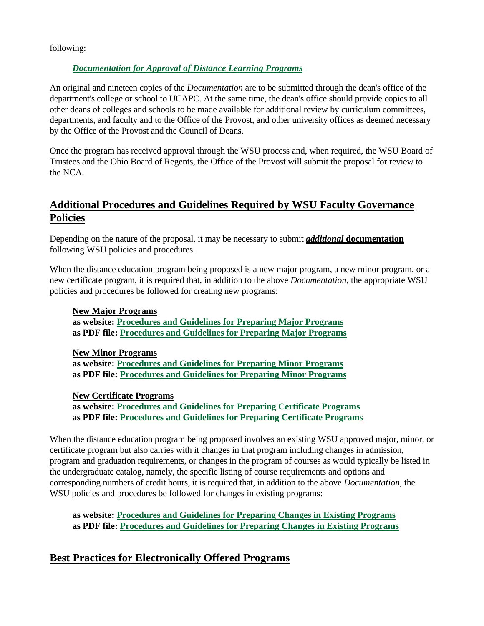following:

#### *Documentation for Approval of Distance Learning Programs*

An original and nineteen copies of the *Documentation* are to be submitted through the dean's office of the department's college or school to UCAPC. At the same time, the dean's office should provide copies to all other deans of colleges and schools to be made available for additional review by curriculum committees, departments, and faculty and to the Office of the Provost, and other university offices as deemed necessary by the Office of the Provost and the Council of Deans.

Once the program has received approval through the WSU process and, when required, the WSU Board of Trustees and the Ohio Board of Regents, the Office of the Provost will submit the proposal for review to the NCA.

# **Additional Procedures and Guidelines Required by WSU Faculty Governance Policies**

Depending on the nature of the proposal, it may be necessary to submit *additional* **documentation** following WSU policies and procedures.

When the distance education program being proposed is a new major program, a new minor program, or a new certificate program, it is required that, in addition to the above *Documentation*, the appropriate WSU policies and procedures be followed for creating new programs:

#### **New Major Programs**

**as website: Procedures and Guidelines for Preparing Major Programs as PDF file: Procedures and Guidelines for Preparing Major Programs**

**New Minor Programs as website: Procedures and Guidelines for Preparing Minor Programs as PDF file: Procedures and Guidelines for Preparing Minor Programs**

**New Certificate Programs**

**as website: Procedures and Guidelines for Preparing Certificate Programs as PDF file: Procedures and Guidelines for Preparing Certificate Program**s

When the distance education program being proposed involves an existing WSU approved major, minor, or certificate program but also carries with it changes in that program including changes in admission, program and graduation requirements, or changes in the program of courses as would typically be listed in the undergraduate catalog, namely, the specific listing of course requirements and options and corresponding numbers of credit hours, it is required that, in addition to the above *Documentation*, the WSU policies and procedures be followed for changes in existing programs:

**as website: Procedures and Guidelines for Preparing Changes in Existing Programs as PDF file: Procedures and Guidelines for Preparing Changes in Existing Programs**

# **Best Practices for Electronically Offered Programs**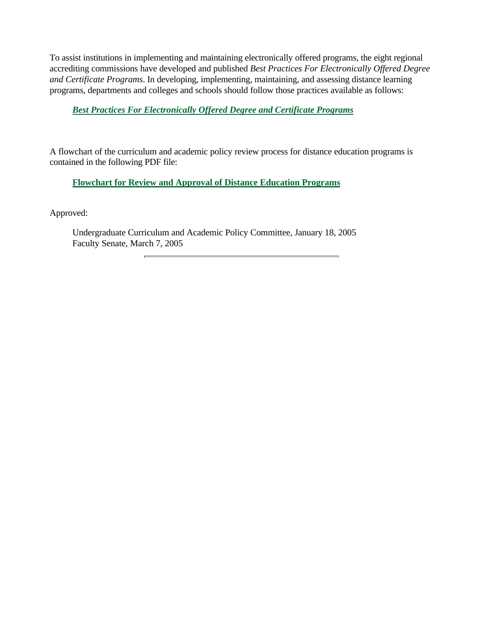To assist institutions in implementing and maintaining electronically offered programs, the eight regional accrediting commissions have developed and published *Best Practices For Electronically Offered Degree and Certificate Programs*. In developing, implementing, maintaining, and assessing distance learning programs, departments and colleges and schools should follow those practices available as follows:

#### *Best Practices For Electronically Offered Degree and Certificate Programs*

A flowchart of the curriculum and academic policy review process for distance education programs is contained in the following PDF file:

#### **Flowchart for Review and Approval of Distance Education Programs**

Approved:

Undergraduate Curriculum and Academic Policy Committee, January 18, 2005 Faculty Senate, March 7, 2005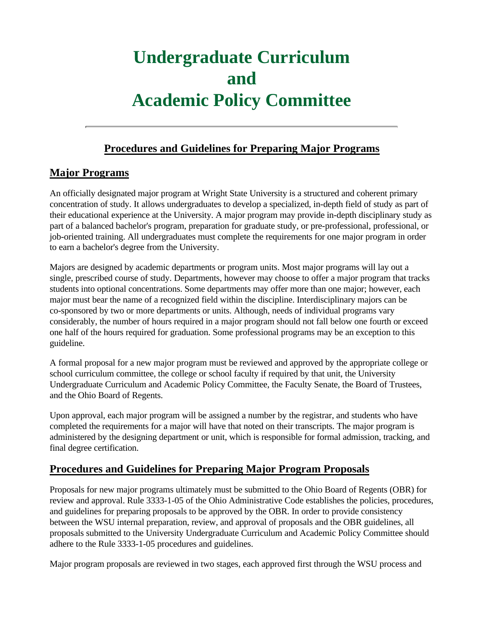# **Procedures and Guidelines for Preparing Major Programs**

# **Major Programs**

An officially designated major program at Wright State University is a structured and coherent primary concentration of study. It allows undergraduates to develop a specialized, in-depth field of study as part of their educational experience at the University. A major program may provide in-depth disciplinary study as part of a balanced bachelor's program, preparation for graduate study, or pre-professional, professional, or job-oriented training. All undergraduates must complete the requirements for one major program in order to earn a bachelor's degree from the University.

Majors are designed by academic departments or program units. Most major programs will lay out a single, prescribed course of study. Departments, however may choose to offer a major program that tracks students into optional concentrations. Some departments may offer more than one major; however, each major must bear the name of a recognized field within the discipline. Interdisciplinary majors can be co-sponsored by two or more departments or units. Although, needs of individual programs vary considerably, the number of hours required in a major program should not fall below one fourth or exceed one half of the hours required for graduation. Some professional programs may be an exception to this guideline.

A formal proposal for a new major program must be reviewed and approved by the appropriate college or school curriculum committee, the college or school faculty if required by that unit, the University Undergraduate Curriculum and Academic Policy Committee, the Faculty Senate, the Board of Trustees, and the Ohio Board of Regents.

Upon approval, each major program will be assigned a number by the registrar, and students who have completed the requirements for a major will have that noted on their transcripts. The major program is administered by the designing department or unit, which is responsible for formal admission, tracking, and final degree certification.

## **Procedures and Guidelines for Preparing Major Program Proposals**

Proposals for new major programs ultimately must be submitted to the Ohio Board of Regents (OBR) for review and approval. Rule 3333-1-05 of the Ohio Administrative Code establishes the policies, procedures, and guidelines for preparing proposals to be approved by the OBR. In order to provide consistency between the WSU internal preparation, review, and approval of proposals and the OBR guidelines, all proposals submitted to the University Undergraduate Curriculum and Academic Policy Committee should adhere to the Rule 3333-1-05 procedures and guidelines.

Major program proposals are reviewed in two stages, each approved first through the WSU process and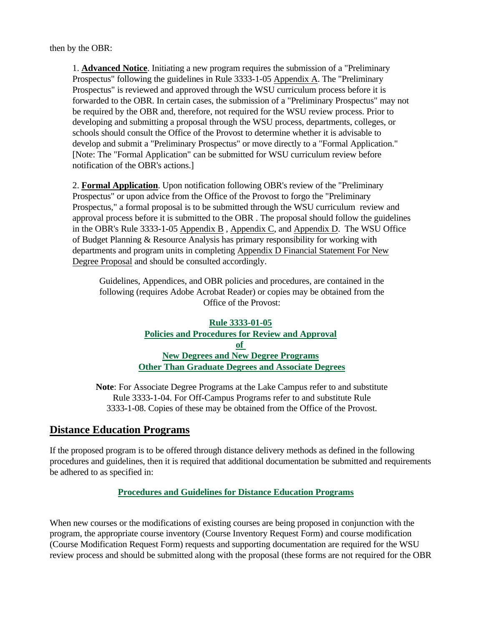then by the OBR:

1. **Advanced Notice**. Initiating a new program requires the submission of a "Preliminary Prospectus" following the guidelines in Rule 3333-1-05 Appendix A. The "Preliminary Prospectus" is reviewed and approved through the WSU curriculum process before it is forwarded to the OBR. In certain cases, the submission of a "Preliminary Prospectus" may not be required by the OBR and, therefore, not required for the WSU review process. Prior to developing and submitting a proposal through the WSU process, departments, colleges, or schools should consult the Office of the Provost to determine whether it is advisable to develop and submit a "Preliminary Prospectus" or move directly to a "Formal Application." [Note: The "Formal Application" can be submitted for WSU curriculum review before notification of the OBR's actions.]

2. **Formal Application**. Upon notification following OBR's review of the "Preliminary Prospectus" or upon advice from the Office of the Provost to forgo the "Preliminary Prospectus," a formal proposal is to be submitted through the WSU curriculum review and approval process before it is submitted to the OBR . The proposal should follow the guidelines in the OBR's Rule 3333-1-05 Appendix B , Appendix C, and Appendix D. The WSU Office of Budget Planning & Resource Analysis has primary responsibility for working with departments and program units in completing Appendix D Financial Statement For New Degree Proposal and should be consulted accordingly.

Guidelines, Appendices, and OBR policies and procedures, are contained in the following (requires Adobe Acrobat Reader) or copies may be obtained from the Office of the Provost:

#### **Rule 3333-01-05 Policies and Procedures for Review and Approval of New Degrees and New Degree Programs Other Than Graduate Degrees and Associate Degrees**

**Note**: For Associate Degree Programs at the Lake Campus refer to and substitute Rule 3333-1-04. For Off-Campus Programs refer to and substitute Rule 3333-1-08. Copies of these may be obtained from the Office of the Provost.

## **Distance Education Programs**

If the proposed program is to be offered through distance delivery methods as defined in the following procedures and guidelines, then it is required that additional documentation be submitted and requirements be adhered to as specified in:

#### **Procedures and Guidelines for Distance Education Programs**

When new courses or the modifications of existing courses are being proposed in conjunction with the program, the appropriate course inventory (Course Inventory Request Form) and course modification (Course Modification Request Form) requests and supporting documentation are required for the WSU review process and should be submitted along with the proposal (these forms are not required for the OBR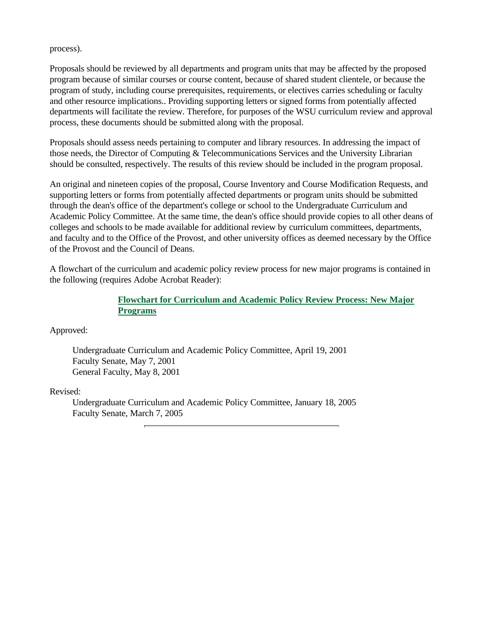process).

Proposals should be reviewed by all departments and program units that may be affected by the proposed program because of similar courses or course content, because of shared student clientele, or because the program of study, including course prerequisites, requirements, or electives carries scheduling or faculty and other resource implications.. Providing supporting letters or signed forms from potentially affected departments will facilitate the review. Therefore, for purposes of the WSU curriculum review and approval process, these documents should be submitted along with the proposal.

Proposals should assess needs pertaining to computer and library resources. In addressing the impact of those needs, the Director of Computing & Telecommunications Services and the University Librarian should be consulted, respectively. The results of this review should be included in the program proposal.

An original and nineteen copies of the proposal, Course Inventory and Course Modification Requests, and supporting letters or forms from potentially affected departments or program units should be submitted through the dean's office of the department's college or school to the Undergraduate Curriculum and Academic Policy Committee. At the same time, the dean's office should provide copies to all other deans of colleges and schools to be made available for additional review by curriculum committees, departments, and faculty and to the Office of the Provost, and other university offices as deemed necessary by the Office of the Provost and the Council of Deans.

A flowchart of the curriculum and academic policy review process for new major programs is contained in the following (requires Adobe Acrobat Reader):

#### **Flowchart for Curriculum and Academic Policy Review Process: New Major Programs**

Approved:

Undergraduate Curriculum and Academic Policy Committee, April 19, 2001 Faculty Senate, May 7, 2001 General Faculty, May 8, 2001

Revised:

Undergraduate Curriculum and Academic Policy Committee, January 18, 2005 Faculty Senate, March 7, 2005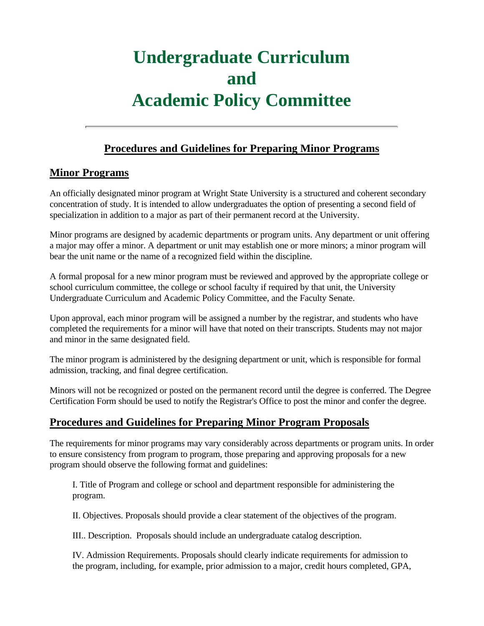## **Procedures and Guidelines for Preparing Minor Programs**

## **Minor Programs**

An officially designated minor program at Wright State University is a structured and coherent secondary concentration of study. It is intended to allow undergraduates the option of presenting a second field of specialization in addition to a major as part of their permanent record at the University.

Minor programs are designed by academic departments or program units. Any department or unit offering a major may offer a minor. A department or unit may establish one or more minors; a minor program will bear the unit name or the name of a recognized field within the discipline.

A formal proposal for a new minor program must be reviewed and approved by the appropriate college or school curriculum committee, the college or school faculty if required by that unit, the University Undergraduate Curriculum and Academic Policy Committee, and the Faculty Senate.

Upon approval, each minor program will be assigned a number by the registrar, and students who have completed the requirements for a minor will have that noted on their transcripts. Students may not major and minor in the same designated field.

The minor program is administered by the designing department or unit, which is responsible for formal admission, tracking, and final degree certification.

Minors will not be recognized or posted on the permanent record until the degree is conferred. The Degree Certification Form should be used to notify the Registrar's Office to post the minor and confer the degree.

# **Procedures and Guidelines for Preparing Minor Program Proposals**

The requirements for minor programs may vary considerably across departments or program units. In order to ensure consistency from program to program, those preparing and approving proposals for a new program should observe the following format and guidelines:

I. Title of Program and college or school and department responsible for administering the program.

II. Objectives. Proposals should provide a clear statement of the objectives of the program.

III.. Description. Proposals should include an undergraduate catalog description.

IV. Admission Requirements. Proposals should clearly indicate requirements for admission to the program, including, for example, prior admission to a major, credit hours completed, GPA,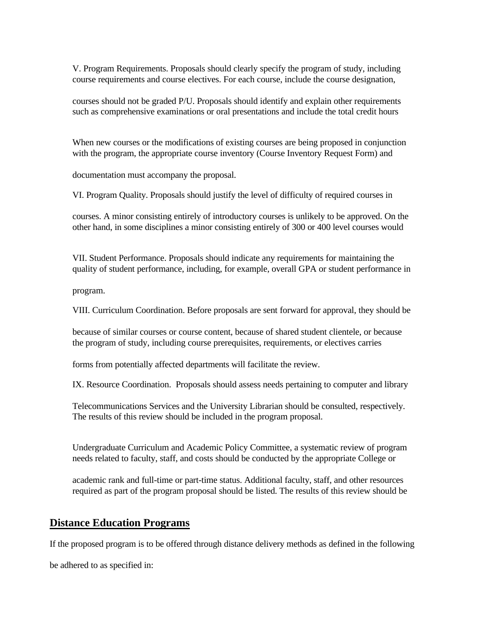V. Program Requirements. Proposals should clearly specify the program of study, including course requirements and course electives. For each course, include the course designation,

courses should not be graded P/U. Proposals should identify and explain other requirements such as comprehensive examinations or oral presentations and include the total credit hours

When new courses or the modifications of existing courses are being proposed in conjunction with the program, the appropriate course inventory (Course Inventory Request Form) and

documentation must accompany the proposal.

VI. Program Quality. Proposals should justify the level of difficulty of required courses in

courses. A minor consisting entirely of introductory courses is unlikely to be approved. On the other hand, in some disciplines a minor consisting entirely of 300 or 400 level courses would

VII. Student Performance. Proposals should indicate any requirements for maintaining the quality of student performance, including, for example, overall GPA or student performance in

program.

VIII. Curriculum Coordination. Before proposals are sent forward for approval, they should be

because of similar courses or course content, because of shared student clientele, or because the program of study, including course prerequisites, requirements, or electives carries

forms from potentially affected departments will facilitate the review.

IX. Resource Coordination. Proposals should assess needs pertaining to computer and library

Telecommunications Services and the University Librarian should be consulted, respectively. The results of this review should be included in the program proposal.

Undergraduate Curriculum and Academic Policy Committee, a systematic review of program needs related to faculty, staff, and costs should be conducted by the appropriate College or

academic rank and full-time or part-time status. Additional faculty, staff, and other resources required as part of the program proposal should be listed. The results of this review should be

#### **Distance Education Programs**

If the proposed program is to be offered through distance delivery methods as defined in the following

be adhered to as specified in: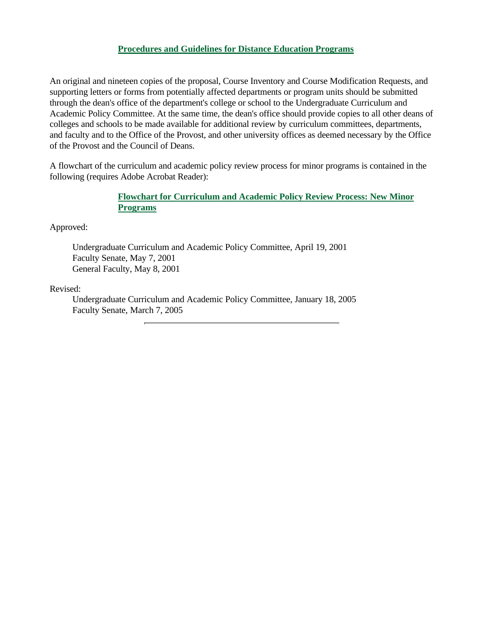#### **Procedures and Guidelines for Distance Education Programs**

An original and nineteen copies of the proposal, Course Inventory and Course Modification Requests, and supporting letters or forms from potentially affected departments or program units should be submitted through the dean's office of the department's college or school to the Undergraduate Curriculum and Academic Policy Committee. At the same time, the dean's office should provide copies to all other deans of colleges and schools to be made available for additional review by curriculum committees, departments, and faculty and to the Office of the Provost, and other university offices as deemed necessary by the Office of the Provost and the Council of Deans.

A flowchart of the curriculum and academic policy review process for minor programs is contained in the following (requires Adobe Acrobat Reader):

#### **Flowchart for Curriculum and Academic Policy Review Process: New Minor Programs**

Approved:

Undergraduate Curriculum and Academic Policy Committee, April 19, 2001 Faculty Senate, May 7, 2001 General Faculty, May 8, 2001

Revised:

Undergraduate Curriculum and Academic Policy Committee, January 18, 2005 Faculty Senate, March 7, 2005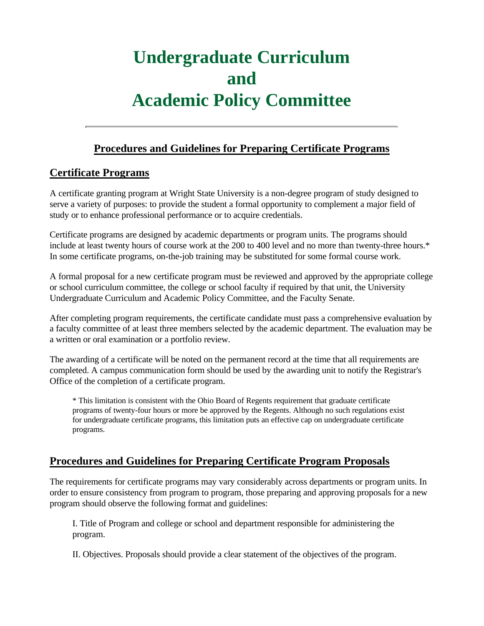## **Procedures and Guidelines for Preparing Certificate Programs**

## **Certificate Programs**

A certificate granting program at Wright State University is a non-degree program of study designed to serve a variety of purposes: to provide the student a formal opportunity to complement a major field of study or to enhance professional performance or to acquire credentials.

Certificate programs are designed by academic departments or program units. The programs should include at least twenty hours of course work at the 200 to 400 level and no more than twenty-three hours.\* In some certificate programs, on-the-job training may be substituted for some formal course work.

A formal proposal for a new certificate program must be reviewed and approved by the appropriate college or school curriculum committee, the college or school faculty if required by that unit, the University Undergraduate Curriculum and Academic Policy Committee, and the Faculty Senate.

After completing program requirements, the certificate candidate must pass a comprehensive evaluation by a faculty committee of at least three members selected by the academic department. The evaluation may be a written or oral examination or a portfolio review.

The awarding of a certificate will be noted on the permanent record at the time that all requirements are completed. A campus communication form should be used by the awarding unit to notify the Registrar's Office of the completion of a certificate program.

\* This limitation is consistent with the Ohio Board of Regents requirement that graduate certificate programs of twenty-four hours or more be approved by the Regents. Although no such regulations exist for undergraduate certificate programs, this limitation puts an effective cap on undergraduate certificate programs.

# **Procedures and Guidelines for Preparing Certificate Program Proposals**

The requirements for certificate programs may vary considerably across departments or program units. In order to ensure consistency from program to program, those preparing and approving proposals for a new program should observe the following format and guidelines:

I. Title of Program and college or school and department responsible for administering the program.

II. Objectives. Proposals should provide a clear statement of the objectives of the program.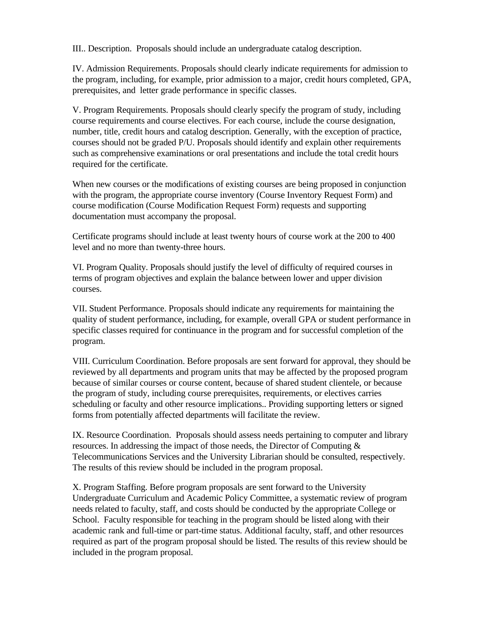III.. Description. Proposals should include an undergraduate catalog description.

IV. Admission Requirements. Proposals should clearly indicate requirements for admission to the program, including, for example, prior admission to a major, credit hours completed, GPA, prerequisites, and letter grade performance in specific classes.

V. Program Requirements. Proposals should clearly specify the program of study, including course requirements and course electives. For each course, include the course designation, number, title, credit hours and catalog description. Generally, with the exception of practice, courses should not be graded P/U. Proposals should identify and explain other requirements such as comprehensive examinations or oral presentations and include the total credit hours required for the certificate.

When new courses or the modifications of existing courses are being proposed in conjunction with the program, the appropriate course inventory (Course Inventory Request Form) and course modification (Course Modification Request Form) requests and supporting documentation must accompany the proposal.

Certificate programs should include at least twenty hours of course work at the 200 to 400 level and no more than twenty-three hours.

VI. Program Quality. Proposals should justify the level of difficulty of required courses in terms of program objectives and explain the balance between lower and upper division courses.

VII. Student Performance. Proposals should indicate any requirements for maintaining the quality of student performance, including, for example, overall GPA or student performance in specific classes required for continuance in the program and for successful completion of the program.

VIII. Curriculum Coordination. Before proposals are sent forward for approval, they should be reviewed by all departments and program units that may be affected by the proposed program because of similar courses or course content, because of shared student clientele, or because the program of study, including course prerequisites, requirements, or electives carries scheduling or faculty and other resource implications.. Providing supporting letters or signed forms from potentially affected departments will facilitate the review.

IX. Resource Coordination. Proposals should assess needs pertaining to computer and library resources. In addressing the impact of those needs, the Director of Computing & Telecommunications Services and the University Librarian should be consulted, respectively. The results of this review should be included in the program proposal.

X. Program Staffing. Before program proposals are sent forward to the University Undergraduate Curriculum and Academic Policy Committee, a systematic review of program needs related to faculty, staff, and costs should be conducted by the appropriate College or School. Faculty responsible for teaching in the program should be listed along with their academic rank and full-time or part-time status. Additional faculty, staff, and other resources required as part of the program proposal should be listed. The results of this review should be included in the program proposal.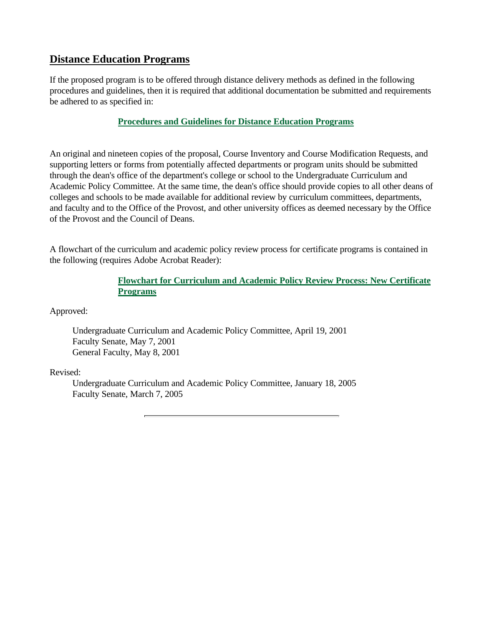### **Distance Education Programs**

If the proposed program is to be offered through distance delivery methods as defined in the following procedures and guidelines, then it is required that additional documentation be submitted and requirements be adhered to as specified in:

#### **Procedures and Guidelines for Distance Education Programs**

An original and nineteen copies of the proposal, Course Inventory and Course Modification Requests, and supporting letters or forms from potentially affected departments or program units should be submitted through the dean's office of the department's college or school to the Undergraduate Curriculum and Academic Policy Committee. At the same time, the dean's office should provide copies to all other deans of colleges and schools to be made available for additional review by curriculum committees, departments, and faculty and to the Office of the Provost, and other university offices as deemed necessary by the Office of the Provost and the Council of Deans.

A flowchart of the curriculum and academic policy review process for certificate programs is contained in the following (requires Adobe Acrobat Reader):

#### **Flowchart for Curriculum and Academic Policy Review Process: New Certificate Programs**

Approved:

Undergraduate Curriculum and Academic Policy Committee, April 19, 2001 Faculty Senate, May 7, 2001 General Faculty, May 8, 2001

#### Revised:

Undergraduate Curriculum and Academic Policy Committee, January 18, 2005 Faculty Senate, March 7, 2005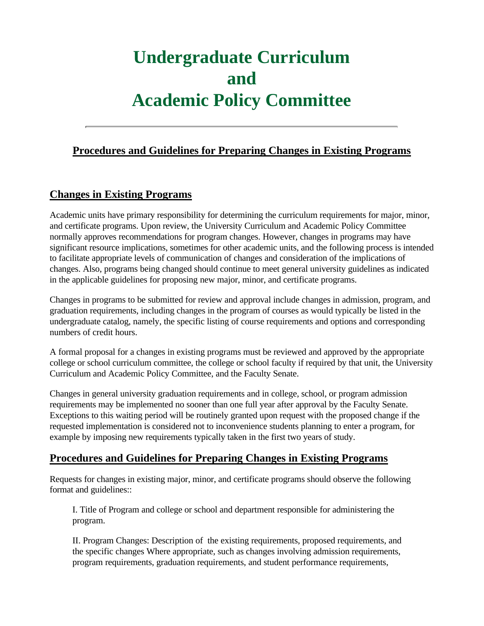### **Procedures and Guidelines for Preparing Changes in Existing Programs**

## **Changes in Existing Programs**

Academic units have primary responsibility for determining the curriculum requirements for major, minor, and certificate programs. Upon review, the University Curriculum and Academic Policy Committee normally approves recommendations for program changes. However, changes in programs may have significant resource implications, sometimes for other academic units, and the following process is intended to facilitate appropriate levels of communication of changes and consideration of the implications of changes. Also, programs being changed should continue to meet general university guidelines as indicated in the applicable guidelines for proposing new major, minor, and certificate programs.

Changes in programs to be submitted for review and approval include changes in admission, program, and graduation requirements, including changes in the program of courses as would typically be listed in the undergraduate catalog, namely, the specific listing of course requirements and options and corresponding numbers of credit hours.

A formal proposal for a changes in existing programs must be reviewed and approved by the appropriate college or school curriculum committee, the college or school faculty if required by that unit, the University Curriculum and Academic Policy Committee, and the Faculty Senate.

Changes in general university graduation requirements and in college, school, or program admission requirements may be implemented no sooner than one full year after approval by the Faculty Senate. Exceptions to this waiting period will be routinely granted upon request with the proposed change if the requested implementation is considered not to inconvenience students planning to enter a program, for example by imposing new requirements typically taken in the first two years of study.

## **Procedures and Guidelines for Preparing Changes in Existing Programs**

Requests for changes in existing major, minor, and certificate programs should observe the following format and guidelines::

I. Title of Program and college or school and department responsible for administering the program.

II. Program Changes: Description of the existing requirements, proposed requirements, and the specific changes Where appropriate, such as changes involving admission requirements, program requirements, graduation requirements, and student performance requirements,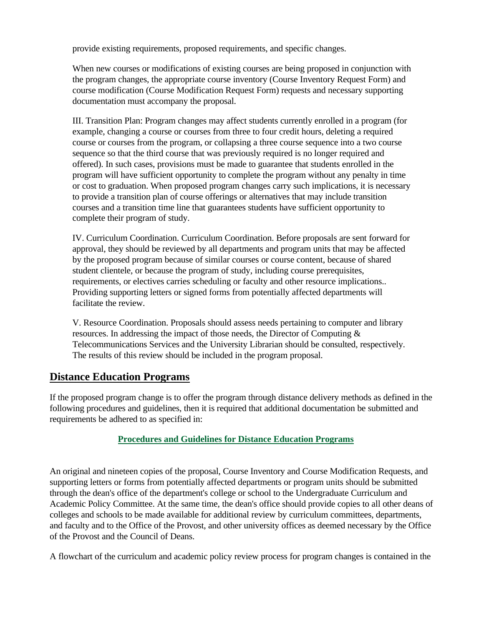provide existing requirements, proposed requirements, and specific changes.

When new courses or modifications of existing courses are being proposed in conjunction with the program changes, the appropriate course inventory (Course Inventory Request Form) and course modification (Course Modification Request Form) requests and necessary supporting documentation must accompany the proposal.

III. Transition Plan: Program changes may affect students currently enrolled in a program (for example, changing a course or courses from three to four credit hours, deleting a required course or courses from the program, or collapsing a three course sequence into a two course sequence so that the third course that was previously required is no longer required and offered). In such cases, provisions must be made to guarantee that students enrolled in the program will have sufficient opportunity to complete the program without any penalty in time or cost to graduation. When proposed program changes carry such implications, it is necessary to provide a transition plan of course offerings or alternatives that may include transition courses and a transition time line that guarantees students have sufficient opportunity to complete their program of study.

IV. Curriculum Coordination. Curriculum Coordination. Before proposals are sent forward for approval, they should be reviewed by all departments and program units that may be affected by the proposed program because of similar courses or course content, because of shared student clientele, or because the program of study, including course prerequisites, requirements, or electives carries scheduling or faculty and other resource implications.. Providing supporting letters or signed forms from potentially affected departments will facilitate the review.

V. Resource Coordination. Proposals should assess needs pertaining to computer and library resources. In addressing the impact of those needs, the Director of Computing & Telecommunications Services and the University Librarian should be consulted, respectively. The results of this review should be included in the program proposal.

#### **Distance Education Programs**

If the proposed program change is to offer the program through distance delivery methods as defined in the following procedures and guidelines, then it is required that additional documentation be submitted and requirements be adhered to as specified in:

#### **Procedures and Guidelines for Distance Education Programs**

An original and nineteen copies of the proposal, Course Inventory and Course Modification Requests, and supporting letters or forms from potentially affected departments or program units should be submitted through the dean's office of the department's college or school to the Undergraduate Curriculum and Academic Policy Committee. At the same time, the dean's office should provide copies to all other deans of colleges and schools to be made available for additional review by curriculum committees, departments, and faculty and to the Office of the Provost, and other university offices as deemed necessary by the Office of the Provost and the Council of Deans.

A flowchart of the curriculum and academic policy review process for program changes is contained in the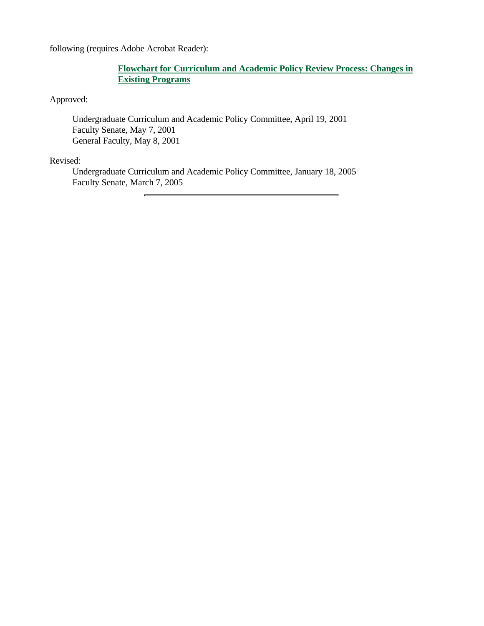following (requires Adobe Acrobat Reader):

#### **Flowchart for Curriculum and Academic Policy Review Process: Changes in Existing Programs**

Approved:

Undergraduate Curriculum and Academic Policy Committee, April 19, 2001 Faculty Senate, May 7, 2001 General Faculty, May 8, 2001

#### Revised:

Undergraduate Curriculum and Academic Policy Committee, January 18, 2005 Faculty Senate, March 7, 2005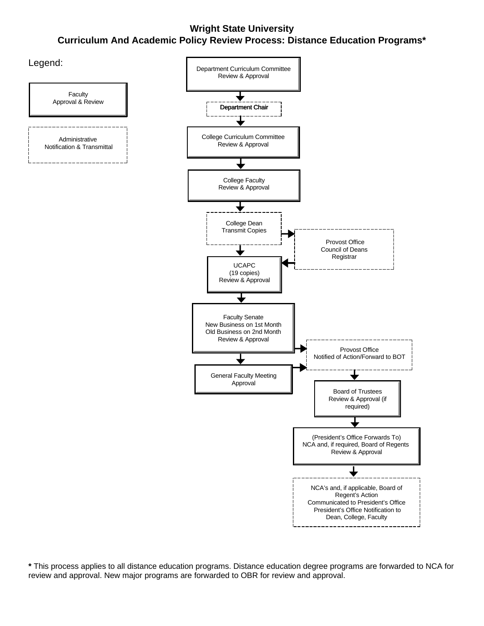# **Wright State University Curriculum And Academic Policy Review Process: Distance Education Programs\***



**\*** This process applies to all distance education programs. Distance education degree programs are forwarded to NCA for review and approval. New major programs are forwarded to OBR for review and approval.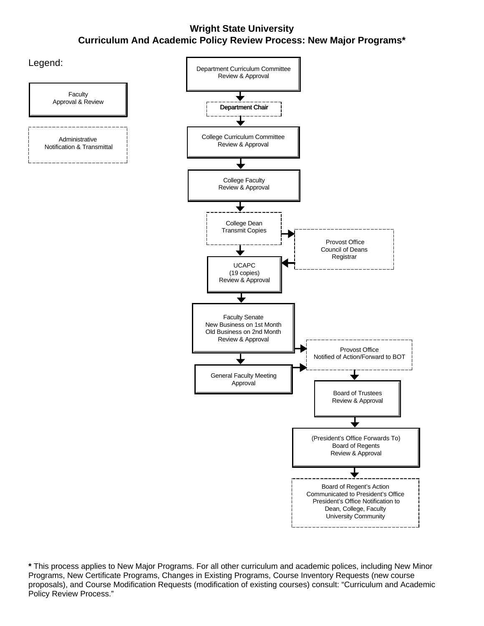### **Wright State University Curriculum And Academic Policy Review Process: New Major Programs\***



**\*** This process applies to New Major Programs. For all other curriculum and academic polices, including New Minor Programs, New Certificate Programs, Changes in Existing Programs, Course Inventory Requests (new course proposals), and Course Modification Requests (modification of existing courses) consult: "Curriculum and Academic Policy Review Process."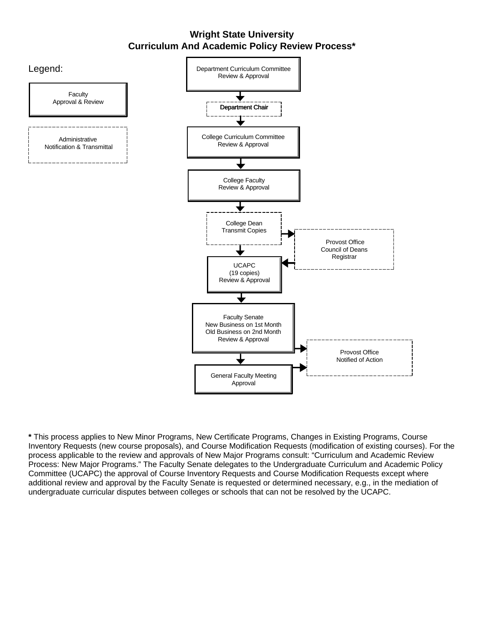#### **Wright State University Curriculum And Academic Policy Review Process\***



**\*** This process applies to New Minor Programs, New Certificate Programs, Changes in Existing Programs, Course Inventory Requests (new course proposals), and Course Modification Requests (modification of existing courses). For the process applicable to the review and approvals of New Major Programs consult: "Curriculum and Academic Review Process: New Major Programs." The Faculty Senate delegates to the Undergraduate Curriculum and Academic Policy Committee (UCAPC) the approval of Course Inventory Requests and Course Modification Requests except where additional review and approval by the Faculty Senate is requested or determined necessary, e.g., in the mediation of undergraduate curricular disputes between colleges or schools that can not be resolved by the UCAPC.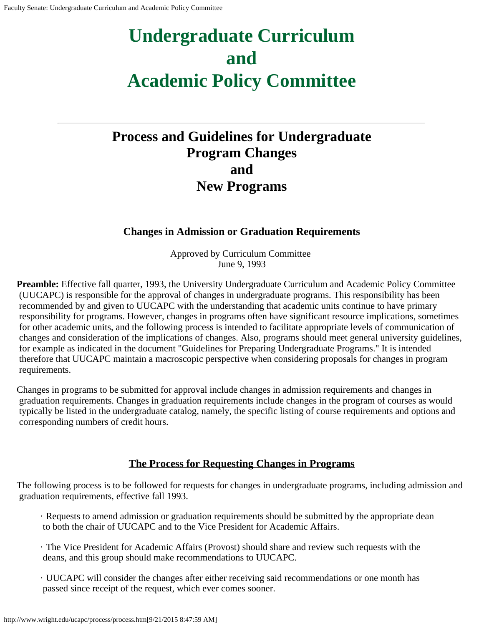# <span id="page-21-0"></span>**Process and Guidelines for Undergraduate Program Changes and New Programs**

## **Changes in Admission or Graduation Requirements**

Approved by Curriculum Committee June 9, 1993

**Preamble:** Effective fall quarter, 1993, the University Undergraduate Curriculum and Academic Policy Committee (UUCAPC) is responsible for the approval of changes in undergraduate programs. This responsibility has been recommended by and given to UUCAPC with the understanding that academic units continue to have primary responsibility for programs. However, changes in programs often have significant resource implications, sometimes for other academic units, and the following process is intended to facilitate appropriate levels of communication of changes and consideration of the implications of changes. Also, programs should meet general university guidelines, for example as indicated in the document "Guidelines for Preparing Undergraduate Programs." It is intended therefore that UUCAPC maintain a macroscopic perspective when considering proposals for changes in program requirements.

Changes in programs to be submitted for approval include changes in admission requirements and changes in graduation requirements. Changes in graduation requirements include changes in the program of courses as would typically be listed in the undergraduate catalog, namely, the specific listing of course requirements and options and corresponding numbers of credit hours.

## **The Process for Requesting Changes in Programs**

The following process is to be followed for requests for changes in undergraduate programs, including admission and graduation requirements, effective fall 1993.

- · Requests to amend admission or graduation requirements should be submitted by the appropriate dean to both the chair of UUCAPC and to the Vice President for Academic Affairs.
- · The Vice President for Academic Affairs (Provost) should share and review such requests with the deans, and this group should make recommendations to UUCAPC.
- · UUCAPC will consider the changes after either receiving said recommendations or one month has passed since receipt of the request, which ever comes sooner.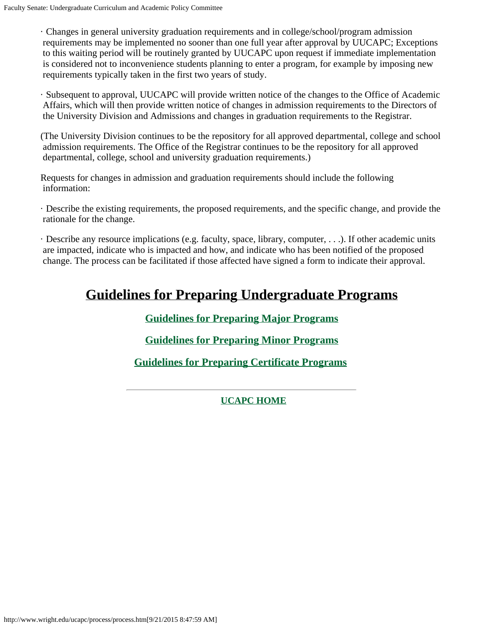· Changes in general university graduation requirements and in college/school/program admission requirements may be implemented no sooner than one full year after approval by UUCAPC; Exceptions to this waiting period will be routinely granted by UUCAPC upon request if immediate implementation is considered not to inconvenience students planning to enter a program, for example by imposing new requirements typically taken in the first two years of study.

· Subsequent to approval, UUCAPC will provide written notice of the changes to the Office of Academic Affairs, which will then provide written notice of changes in admission requirements to the Directors of the University Division and Admissions and changes in graduation requirements to the Registrar.

(The University Division continues to be the repository for all approved departmental, college and school admission requirements. The Office of the Registrar continues to be the repository for all approved departmental, college, school and university graduation requirements.)

Requests for changes in admission and graduation requirements should include the following information:

· Describe the existing requirements, the proposed requirements, and the specific change, and provide the rationale for the change.

· Describe any resource implications (e.g. faculty, space, library, computer, . . .). If other academic units are impacted, indicate who is impacted and how, and indicate who has been notified of the proposed change. The process can be facilitated if those affected have signed a form to indicate their approval.

# **Guidelines for Preparing Undergraduate Programs**

**[Guidelines for Preparing Major](http://www.wright.edu/ucapc/process/major.htm) Programs**

**[Guidelines for Preparing Minor](http://www.wright.edu/ucapc/process/minor.htm) Programs**

**[Guidelines for Preparing Certificate](http://www.wright.edu/ucapc/process/certific.htm) Programs**

**[UCAPC HOME](http://www.wright.edu/ucapc/index.htm)**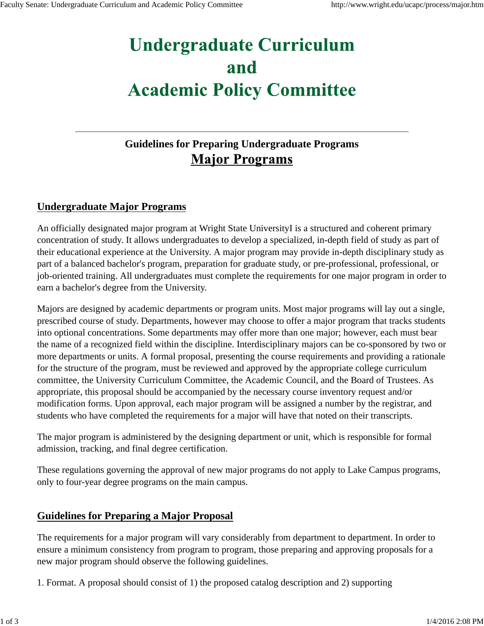# **Guidelines for Preparing Undergraduate Programs Major Programs**

# **Undergraduate Major Programs**

An officially designated major program at Wright State UniversityI is a structured and coherent primary concentration of study. It allows undergraduates to develop a specialized, in-depth field of study as part of their educational experience at the University. A major program may provide in-depth disciplinary study as part of a balanced bachelor's program, preparation for graduate study, or pre-professional, professional, or job-oriented training. All undergraduates must complete the requirements for one major program in order to earn a bachelor's degree from the University.

Majors are designed by academic departments or program units. Most major programs will lay out a single, prescribed course of study. Departments, however may choose to offer a major program that tracks students into optional concentrations. Some departments may offer more than one major; however, each must bear the name of a recognized field within the discipline. Interdisciplinary majors can be co-sponsored by two or more departments or units. A formal proposal, presenting the course requirements and providing a rationale for the structure of the program, must be reviewed and approved by the appropriate college curriculum committee, the University Curriculum Committee, the Academic Council, and the Board of Trustees. As appropriate, this proposal should be accompanied by the necessary course inventory request and/or modification forms. Upon approval, each major program will be assigned a number by the registrar, and students who have completed the requirements for a major will have that noted on their transcripts.

The major program is administered by the designing department or unit, which is responsible for formal admission, tracking, and final degree certification.

These regulations governing the approval of new major programs do not apply to Lake Campus programs, only to four-year degree programs on the main campus.

#### **Guidelines for Preparing a Major Proposal**

The requirements for a major program will vary considerably from department to department. In order to ensure a minimum consistency from program to program, those preparing and approving proposals for a new major program should observe the following guidelines.

1. Format. A proposal should consist of 1) the proposed catalog description and 2) supporting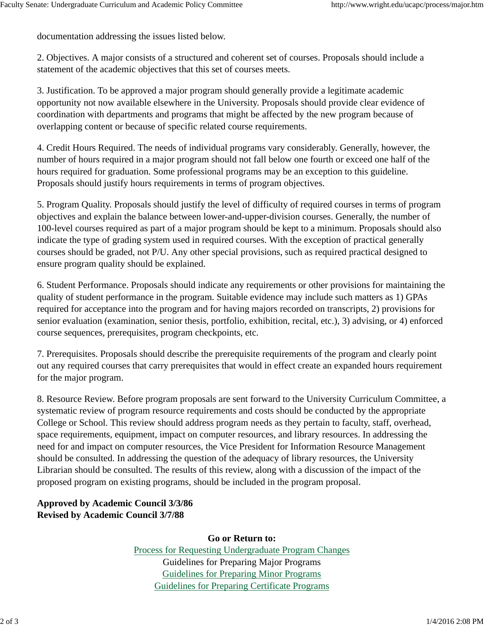documentation addressing the issues listed below.

2. Objectives. A major consists of a structured and coherent set of courses. Proposals should include a statement of the academic objectives that this set of courses meets.

3. Justification. To be approved a major program should generally provide a legitimate academic opportunity not now available elsewhere in the University. Proposals should provide clear evidence of coordination with departments and programs that might be affected by the new program because of overlapping content or because of specific related course requirements.

4. Credit Hours Required. The needs of individual programs vary considerably. Generally, however, the number of hours required in a major program should not fall below one fourth or exceed one half of the hours required for graduation. Some professional programs may be an exception to this guideline. Proposals should justify hours requirements in terms of program objectives.

5. Program Quality. Proposals should justify the level of difficulty of required courses in terms of program objectives and explain the balance between lower-and-upper-division courses. Generally, the number of 100-level courses required as part of a major program should be kept to a minimum. Proposals should also indicate the type of grading system used in required courses. With the exception of practical generally courses should be graded, not P/U. Any other special provisions, such as required practical designed to ensure program quality should be explained.

6. Student Performance. Proposals should indicate any requirements or other provisions for maintaining the quality of student performance in the program. Suitable evidence may include such matters as 1) GPAs required for acceptance into the program and for having majors recorded on transcripts, 2) provisions for senior evaluation (examination, senior thesis, portfolio, exhibition, recital, etc.), 3) advising, or 4) enforced course sequences, prerequisites, program checkpoints, etc.

7. Prerequisites. Proposals should describe the prerequisite requirements of the program and clearly point out any required courses that carry prerequisites that would in effect create an expanded hours requirement for the major program.

8. Resource Review. Before program proposals are sent forward to the University Curriculum Committee, a systematic review of program resource requirements and costs should be conducted by the appropriate College or School. This review should address program needs as they pertain to faculty, staff, overhead, space requirements, equipment, impact on computer resources, and library resources. In addressing the need for and impact on computer resources, the Vice President for Information Resource Management should be consulted. In addressing the question of the adequacy of library resources, the University Librarian should be consulted. The results of this review, along with a discussion of the impact of the proposed program on existing programs, should be included in the program proposal.

**Approved by Academic Council 3/3/86 Revised by Academic Council 3/7/88**

**Go or Return to:**

Process for Requesting Undergraduate Program Changes Guidelines for Preparing Major Programs Guidelines for Preparing Minor Programs Guidelines for Preparing Certificate Programs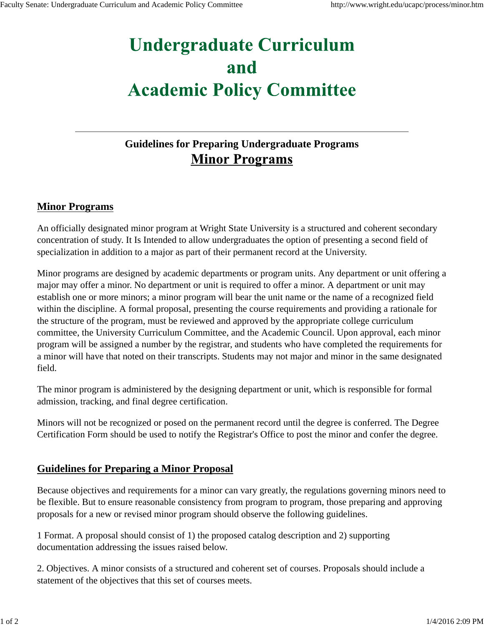# **Guidelines for Preparing Undergraduate Programs Minor Programs**

#### **Minor Programs**

An officially designated minor program at Wright State University is a structured and coherent secondary concentration of study. It Is Intended to allow undergraduates the option of presenting a second field of specialization in addition to a major as part of their permanent record at the University.

Minor programs are designed by academic departments or program units. Any department or unit offering a major may offer a minor. No department or unit is required to offer a minor. A department or unit may establish one or more minors; a minor program will bear the unit name or the name of a recognized field within the discipline. A formal proposal, presenting the course requirements and providing a rationale for the structure of the program, must be reviewed and approved by the appropriate college curriculum committee, the University Curriculum Committee, and the Academic Council. Upon approval, each minor program will be assigned a number by the registrar, and students who have completed the requirements for a minor will have that noted on their transcripts. Students may not major and minor in the same designated field.

The minor program is administered by the designing department or unit, which is responsible for formal admission, tracking, and final degree certification.

Minors will not be recognized or posed on the permanent record until the degree is conferred. The Degree Certification Form should be used to notify the Registrar's Office to post the minor and confer the degree.

#### **Guidelines for Preparing a Minor Proposal**

Because objectives and requirements for a minor can vary greatly, the regulations governing minors need to be flexible. But to ensure reasonable consistency from program to program, those preparing and approving proposals for a new or revised minor program should observe the following guidelines.

1 Format. A proposal should consist of 1) the proposed catalog description and 2) supporting documentation addressing the issues raised below.

2. Objectives. A minor consists of a structured and coherent set of courses. Proposals should include a statement of the objectives that this set of courses meets.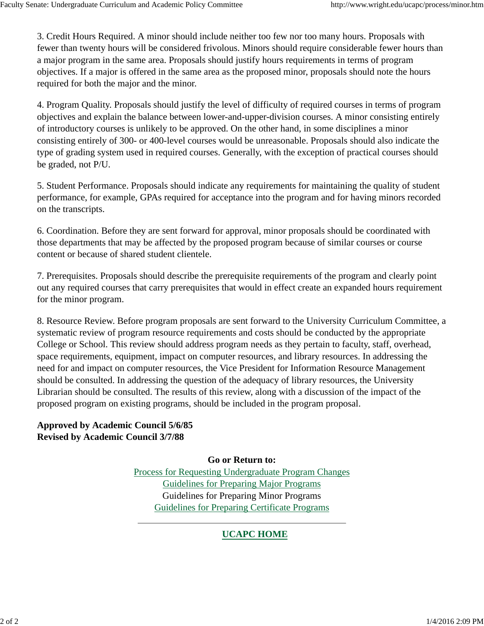3. Credit Hours Required. A minor should include neither too few nor too many hours. Proposals with fewer than twenty hours will be considered frivolous. Minors should require considerable fewer hours than a major program in the same area. Proposals should justify hours requirements in terms of program objectives. If a major is offered in the same area as the proposed minor, proposals should note the hours required for both the major and the minor.

4. Program Quality. Proposals should justify the level of difficulty of required courses in terms of program objectives and explain the balance between lower-and-upper-division courses. A minor consisting entirely of introductory courses is unlikely to be approved. On the other hand, in some disciplines a minor consisting entirely of 300- or 400-level courses would be unreasonable. Proposals should also indicate the type of grading system used in required courses. Generally, with the exception of practical courses should be graded, not P/U.

5. Student Performance. Proposals should indicate any requirements for maintaining the quality of student performance, for example, GPAs required for acceptance into the program and for having minors recorded on the transcripts.

6. Coordination. Before they are sent forward for approval, minor proposals should be coordinated with those departments that may be affected by the proposed program because of similar courses or course content or because of shared student clientele.

7. Prerequisites. Proposals should describe the prerequisite requirements of the program and clearly point out any required courses that carry prerequisites that would in effect create an expanded hours requirement for the minor program.

8. Resource Review. Before program proposals are sent forward to the University Curriculum Committee, a systematic review of program resource requirements and costs should be conducted by the appropriate College or School. This review should address program needs as they pertain to faculty, staff, overhead, space requirements, equipment, impact on computer resources, and library resources. In addressing the need for and impact on computer resources, the Vice President for Information Resource Management should be consulted. In addressing the question of the adequacy of library resources, the University Librarian should be consulted. The results of this review, along with a discussion of the impact of the proposed program on existing programs, should be included in the program proposal.

**Approved by Academic Council 5/6/85 Revised by Academic Council 3/7/88**

> **Go or Return to:** Process for Requesting Undergraduate Program Changes Guidelines for Preparing Major Programs Guidelines for Preparing Minor Programs Guidelines for Preparing Certificate Programs

# **UCAPC HOME**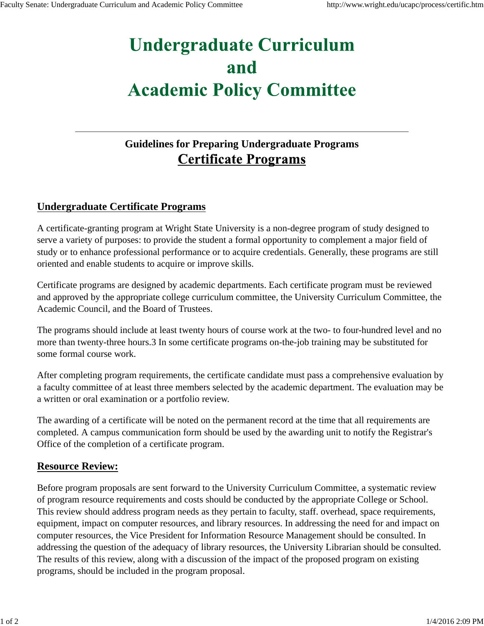# **Guidelines for Preparing Undergraduate Programs Certificate Programs**

## **Undergraduate Certificate Programs**

A certificate-granting program at Wright State University is a non-degree program of study designed to serve a variety of purposes: to provide the student a formal opportunity to complement a major field of study or to enhance professional performance or to acquire credentials. Generally, these programs are still oriented and enable students to acquire or improve skills.

Certificate programs are designed by academic departments. Each certificate program must be reviewed and approved by the appropriate college curriculum committee, the University Curriculum Committee, the Academic Council, and the Board of Trustees.

The programs should include at least twenty hours of course work at the two- to four-hundred level and no more than twenty-three hours.3 In some certificate programs on-the-job training may be substituted for some formal course work.

After completing program requirements, the certificate candidate must pass a comprehensive evaluation by a faculty committee of at least three members selected by the academic department. The evaluation may be a written or oral examination or a portfolio review.

The awarding of a certificate will be noted on the permanent record at the time that all requirements are completed. A campus communication form should be used by the awarding unit to notify the Registrar's Office of the completion of a certificate program.

## **Resource Review:**

Before program proposals are sent forward to the University Curriculum Committee, a systematic review of program resource requirements and costs should be conducted by the appropriate College or School. This review should address program needs as they pertain to faculty, staff. overhead, space requirements, equipment, impact on computer resources, and library resources. In addressing the need for and impact on computer resources, the Vice President for Information Resource Management should be consulted. In addressing the question of the adequacy of library resources, the University Librarian should be consulted. The results of this review, along with a discussion of the impact of the proposed program on existing programs, should be included in the program proposal.